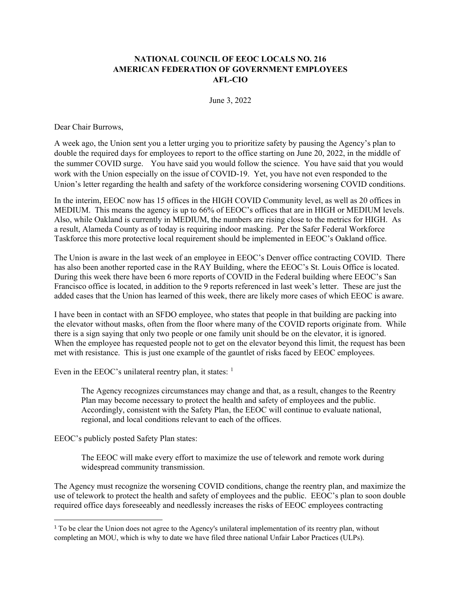## **NATIONAL COUNCIL OF EEOC LOCALS NO. 216 AMERICAN FEDERATION OF GOVERNMENT EMPLOYEES AFL-CIO**

June 3, 2022

Dear Chair Burrows,

A week ago, the Union sent you a letter urging you to prioritize safety by pausing the Agency's plan to double the required days for employees to report to the office starting on June 20, 2022, in the middle of the summer COVID surge. You have said you would follow the science. You have said that you would work with the Union especially on the issue of COVID-19. Yet, you have not even responded to the Union's letter regarding the health and safety of the workforce considering worsening COVID conditions.

In the interim, EEOC now has 15 offices in the HIGH COVID Community level, as well as 20 offices in MEDIUM. This means the agency is up to 66% of EEOC's offices that are in HIGH or MEDIUM levels. Also, while Oakland is currently in MEDIUM, the numbers are rising close to the metrics for HIGH. As a result, Alameda County as of today is requiring indoor masking. Per the Safer Federal Workforce Taskforce this more protective local requirement should be implemented in EEOC's Oakland office.

The Union is aware in the last week of an employee in EEOC's Denver office contracting COVID. There has also been another reported case in the RAY Building, where the EEOC's St. Louis Office is located. During this week there have been 6 more reports of COVID in the Federal building where EEOC's San Francisco office is located, in addition to the 9 reports referenced in last week's letter. These are just the added cases that the Union has learned of this week, there are likely more cases of which EEOC is aware.

I have been in contact with an SFDO employee, who states that people in that building are packing into the elevator without masks, often from the floor where many of the COVID reports originate from. While there is a sign saying that only two people or one family unit should be on the elevator, it is ignored. When the employee has requested people not to get on the elevator beyond this limit, the request has been met with resistance. This is just one example of the gauntlet of risks faced by EEOC employees.

Even in the EEOC's unilateral reentry plan, it states:  $<sup>1</sup>$  $<sup>1</sup>$  $<sup>1</sup>$ </sup>

The Agency recognizes circumstances may change and that, as a result, changes to the Reentry Plan may become necessary to protect the health and safety of employees and the public. Accordingly, consistent with the Safety Plan, the EEOC will continue to evaluate national, regional, and local conditions relevant to each of the offices.

EEOC's publicly posted Safety Plan states:

The EEOC will make every effort to maximize the use of telework and remote work during widespread community transmission.

The Agency must recognize the worsening COVID conditions, change the reentry plan, and maximize the use of telework to protect the health and safety of employees and the public. EEOC's plan to soon double required office days foreseeably and needlessly increases the risks of EEOC employees contracting

<span id="page-0-0"></span><sup>1</sup> To be clear the Union does not agree to the Agency's unilateral implementation of its reentry plan, without completing an MOU, which is why to date we have filed three national Unfair Labor Practices (ULPs).